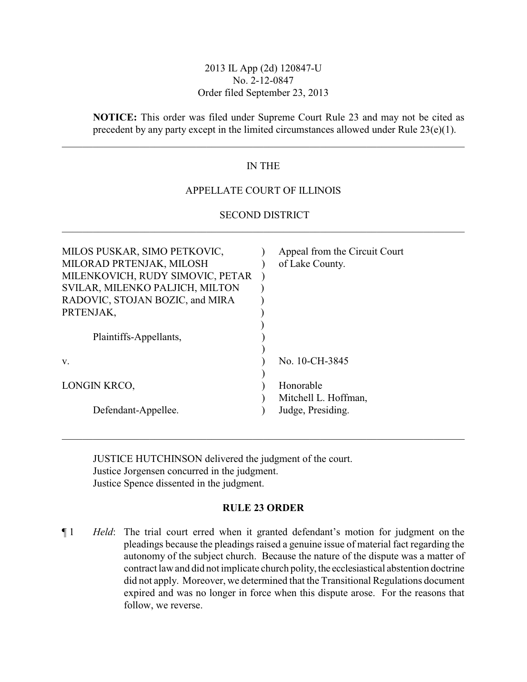### 2013 IL App (2d) 120847-U No. 2-12-0847 Order filed September 23, 2013

**NOTICE:** This order was filed under Supreme Court Rule 23 and may not be cited as precedent by any party except in the limited circumstances allowed under Rule 23(e)(1).

# IN THE

## APPELLATE COURT OF ILLINOIS

# SECOND DISTRICT \_\_\_\_\_\_\_\_\_\_\_\_\_\_\_\_\_\_\_\_\_\_\_\_\_\_\_\_\_\_\_\_\_\_\_\_\_\_\_\_\_\_\_\_\_\_\_\_\_\_\_\_\_\_\_\_\_\_\_\_\_\_\_\_\_\_\_\_\_\_\_\_\_\_\_\_\_\_

| MILOS PUSKAR, SIMO PETKOVIC,<br>MILORAD PRTENJAK, MILOSH<br>MILENKOVICH, RUDY SIMOVIC, PETAR<br>SVILAR, MILENKO PALJICH, MILTON<br>RADOVIC, STOJAN BOZIC, and MIRA<br>PRTENJAK,<br>Plaintiffs-Appellants, | Appeal from the Circuit Court<br>of Lake County. |
|-----------------------------------------------------------------------------------------------------------------------------------------------------------------------------------------------------------|--------------------------------------------------|
| V.                                                                                                                                                                                                        | No. 10-CH-3845                                   |
| LONGIN KRCO,                                                                                                                                                                                              | Honorable                                        |
| Defendant-Appellee.                                                                                                                                                                                       | Mitchell L. Hoffman,<br>Judge, Presiding.        |

JUSTICE HUTCHINSON delivered the judgment of the court. Justice Jorgensen concurred in the judgment. Justice Spence dissented in the judgment.

#### **RULE 23 ORDER**

\_\_\_\_\_\_\_\_\_\_\_\_\_\_\_\_\_\_\_\_\_\_\_\_\_\_\_\_\_\_\_\_\_\_\_\_\_\_\_\_\_\_\_\_\_\_\_\_\_\_\_\_\_\_\_\_\_\_\_\_\_\_\_\_\_\_\_\_\_\_\_\_\_\_\_\_\_\_

¶ 1 *Held*: The trial court erred when it granted defendant's motion for judgment on the pleadings because the pleadings raised a genuine issue of material fact regarding the autonomy of the subject church. Because the nature of the dispute was a matter of contract law and did not implicate church polity, the ecclesiastical abstention doctrine did not apply. Moreover, we determined that the Transitional Regulations document expired and was no longer in force when this dispute arose. For the reasons that follow, we reverse.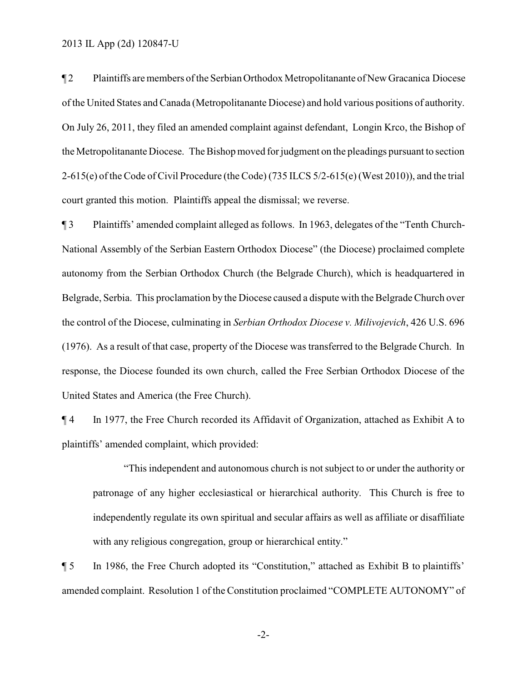¶ 2 Plaintiffs aremembers of the Serbian Orthodox Metropolitanante of New Gracanica Diocese of the United States and Canada (Metropolitanante Diocese) and hold various positions of authority. On July 26, 2011, they filed an amended complaint against defendant, Longin Krco, the Bishop of the Metropolitanante Diocese. The Bishop moved for judgment on the pleadings pursuant to section 2-615(e) of the Code of Civil Procedure (the Code) (735 ILCS 5/2-615(e) (West 2010)), and the trial court granted this motion. Plaintiffs appeal the dismissal; we reverse.

¶ 3 Plaintiffs' amended complaint alleged as follows. In 1963, delegates of the "Tenth Church-National Assembly of the Serbian Eastern Orthodox Diocese" (the Diocese) proclaimed complete autonomy from the Serbian Orthodox Church (the Belgrade Church), which is headquartered in Belgrade, Serbia. This proclamation by the Diocese caused a dispute with the Belgrade Church over the control of the Diocese, culminating in *Serbian Orthodox Diocese v. Milivojevich*, 426 U.S. 696 (1976). As a result of that case, property of the Diocese was transferred to the Belgrade Church. In response, the Diocese founded its own church, called the Free Serbian Orthodox Diocese of the United States and America (the Free Church).

¶ 4 In 1977, the Free Church recorded its Affidavit of Organization, attached as Exhibit A to plaintiffs' amended complaint, which provided:

"This independent and autonomous church is not subject to or under the authority or patronage of any higher ecclesiastical or hierarchical authority. This Church is free to independently regulate its own spiritual and secular affairs as well as affiliate or disaffiliate with any religious congregation, group or hierarchical entity."

¶ 5 In 1986, the Free Church adopted its "Constitution," attached as Exhibit B to plaintiffs' amended complaint. Resolution 1 of the Constitution proclaimed "COMPLETE AUTONOMY" of

-2-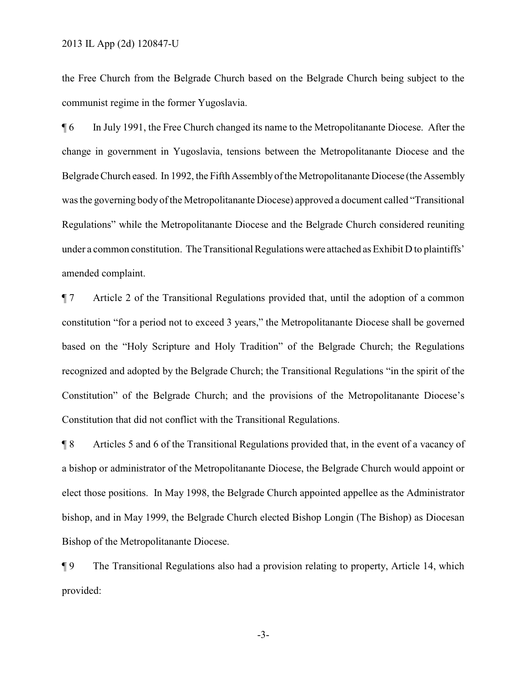the Free Church from the Belgrade Church based on the Belgrade Church being subject to the communist regime in the former Yugoslavia.

¶ 6 In July 1991, the Free Church changed its name to the Metropolitanante Diocese. After the change in government in Yugoslavia, tensions between the Metropolitanante Diocese and the Belgrade Church eased. In 1992, the Fifth Assemblyof the Metropolitanante Diocese (the Assembly was the governing body of the Metropolitanante Diocese) approved a document called "Transitional Regulations" while the Metropolitanante Diocese and the Belgrade Church considered reuniting under a common constitution. The Transitional Regulations were attached as Exhibit D to plaintiffs' amended complaint.

¶ 7 Article 2 of the Transitional Regulations provided that, until the adoption of a common constitution "for a period not to exceed 3 years," the Metropolitanante Diocese shall be governed based on the "Holy Scripture and Holy Tradition" of the Belgrade Church; the Regulations recognized and adopted by the Belgrade Church; the Transitional Regulations "in the spirit of the Constitution" of the Belgrade Church; and the provisions of the Metropolitanante Diocese's Constitution that did not conflict with the Transitional Regulations.

¶ 8 Articles 5 and 6 of the Transitional Regulations provided that, in the event of a vacancy of a bishop or administrator of the Metropolitanante Diocese, the Belgrade Church would appoint or elect those positions. In May 1998, the Belgrade Church appointed appellee as the Administrator bishop, and in May 1999, the Belgrade Church elected Bishop Longin (The Bishop) as Diocesan Bishop of the Metropolitanante Diocese.

¶ 9 The Transitional Regulations also had a provision relating to property, Article 14, which provided:

-3-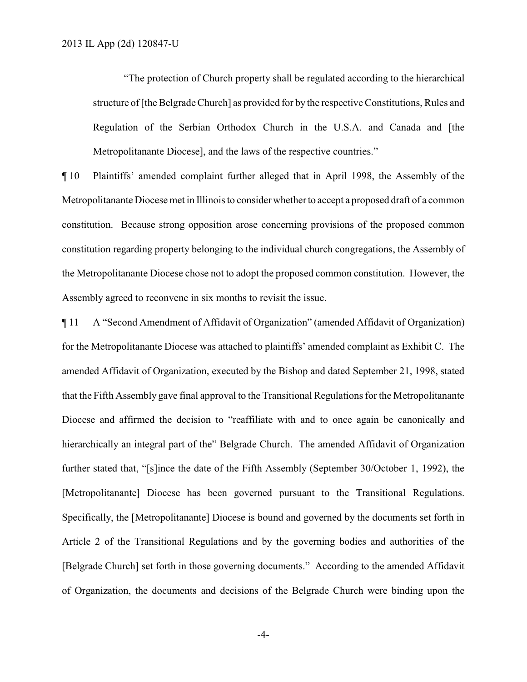"The protection of Church property shall be regulated according to the hierarchical structure of [the Belgrade Church] as provided for by the respective Constitutions, Rules and Regulation of the Serbian Orthodox Church in the U.S.A. and Canada and [the Metropolitanante Diocese], and the laws of the respective countries."

¶ 10 Plaintiffs' amended complaint further alleged that in April 1998, the Assembly of the Metropolitanante Diocesemet in Illinoisto consider whetherto accept a proposed draft of a common constitution. Because strong opposition arose concerning provisions of the proposed common constitution regarding property belonging to the individual church congregations, the Assembly of the Metropolitanante Diocese chose not to adopt the proposed common constitution. However, the Assembly agreed to reconvene in six months to revisit the issue.

¶ 11 A "Second Amendment of Affidavit of Organization" (amended Affidavit of Organization) for the Metropolitanante Diocese was attached to plaintiffs' amended complaint as Exhibit C. The amended Affidavit of Organization, executed by the Bishop and dated September 21, 1998, stated that the Fifth Assembly gave final approval to the Transitional Regulations for the Metropolitanante Diocese and affirmed the decision to "reaffiliate with and to once again be canonically and hierarchically an integral part of the" Belgrade Church. The amended Affidavit of Organization further stated that, "[s]ince the date of the Fifth Assembly (September 30/October 1, 1992), the [Metropolitanante] Diocese has been governed pursuant to the Transitional Regulations. Specifically, the [Metropolitanante] Diocese is bound and governed by the documents set forth in Article 2 of the Transitional Regulations and by the governing bodies and authorities of the [Belgrade Church] set forth in those governing documents." According to the amended Affidavit of Organization, the documents and decisions of the Belgrade Church were binding upon the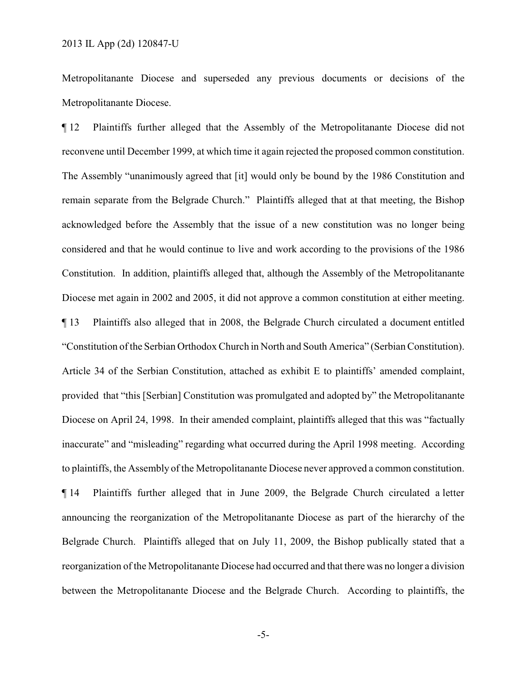Metropolitanante Diocese and superseded any previous documents or decisions of the Metropolitanante Diocese.

¶ 12 Plaintiffs further alleged that the Assembly of the Metropolitanante Diocese did not reconvene until December 1999, at which time it again rejected the proposed common constitution. The Assembly "unanimously agreed that [it] would only be bound by the 1986 Constitution and remain separate from the Belgrade Church." Plaintiffs alleged that at that meeting, the Bishop acknowledged before the Assembly that the issue of a new constitution was no longer being considered and that he would continue to live and work according to the provisions of the 1986 Constitution. In addition, plaintiffs alleged that, although the Assembly of the Metropolitanante Diocese met again in 2002 and 2005, it did not approve a common constitution at either meeting. ¶ 13 Plaintiffs also alleged that in 2008, the Belgrade Church circulated a document entitled "Constitution of the Serbian Orthodox Church in North and South America" (Serbian Constitution). Article 34 of the Serbian Constitution, attached as exhibit E to plaintiffs' amended complaint, provided that "this [Serbian] Constitution was promulgated and adopted by" the Metropolitanante Diocese on April 24, 1998. In their amended complaint, plaintiffs alleged that this was "factually inaccurate" and "misleading" regarding what occurred during the April 1998 meeting. According to plaintiffs, the Assembly of the Metropolitanante Diocese never approved a common constitution. ¶ 14 Plaintiffs further alleged that in June 2009, the Belgrade Church circulated a letter announcing the reorganization of the Metropolitanante Diocese as part of the hierarchy of the Belgrade Church. Plaintiffs alleged that on July 11, 2009, the Bishop publically stated that a reorganization of the Metropolitanante Diocese had occurred and that there was no longer a division between the Metropolitanante Diocese and the Belgrade Church. According to plaintiffs, the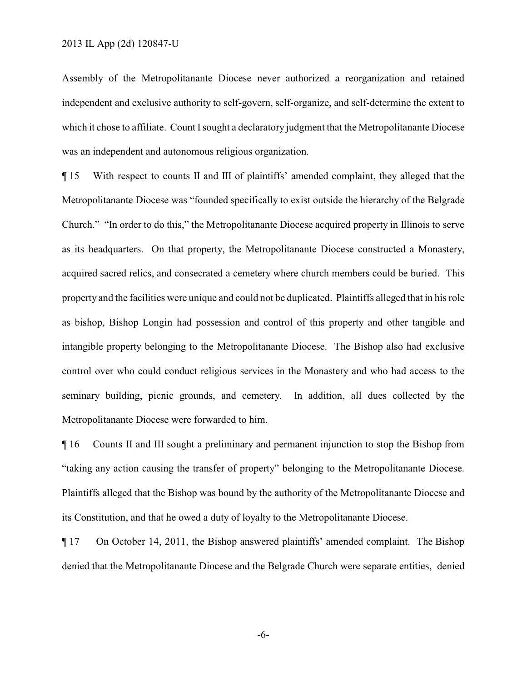Assembly of the Metropolitanante Diocese never authorized a reorganization and retained independent and exclusive authority to self-govern, self-organize, and self-determine the extent to which it chose to affiliate. Count I sought a declaratory judgment that the Metropolitanante Diocese was an independent and autonomous religious organization.

¶ 15 With respect to counts II and III of plaintiffs' amended complaint, they alleged that the Metropolitanante Diocese was "founded specifically to exist outside the hierarchy of the Belgrade Church." "In order to do this," the Metropolitanante Diocese acquired property in Illinois to serve as its headquarters. On that property, the Metropolitanante Diocese constructed a Monastery, acquired sacred relics, and consecrated a cemetery where church members could be buried. This property and the facilities were unique and could not be duplicated. Plaintiffs alleged that in his role as bishop, Bishop Longin had possession and control of this property and other tangible and intangible property belonging to the Metropolitanante Diocese. The Bishop also had exclusive control over who could conduct religious services in the Monastery and who had access to the seminary building, picnic grounds, and cemetery. In addition, all dues collected by the Metropolitanante Diocese were forwarded to him.

¶ 16 Counts II and III sought a preliminary and permanent injunction to stop the Bishop from "taking any action causing the transfer of property" belonging to the Metropolitanante Diocese. Plaintiffs alleged that the Bishop was bound by the authority of the Metropolitanante Diocese and its Constitution, and that he owed a duty of loyalty to the Metropolitanante Diocese.

¶ 17 On October 14, 2011, the Bishop answered plaintiffs' amended complaint. The Bishop denied that the Metropolitanante Diocese and the Belgrade Church were separate entities, denied

-6-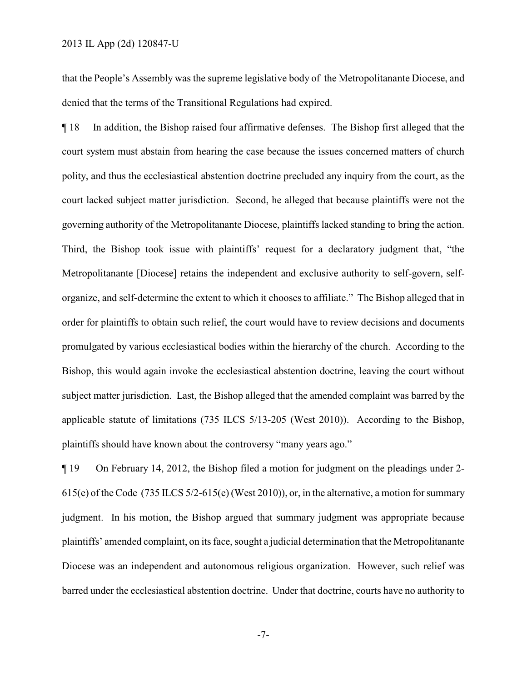that the People's Assembly was the supreme legislative body of the Metropolitanante Diocese, and denied that the terms of the Transitional Regulations had expired.

¶ 18 In addition, the Bishop raised four affirmative defenses. The Bishop first alleged that the court system must abstain from hearing the case because the issues concerned matters of church polity, and thus the ecclesiastical abstention doctrine precluded any inquiry from the court, as the court lacked subject matter jurisdiction. Second, he alleged that because plaintiffs were not the governing authority of the Metropolitanante Diocese, plaintiffs lacked standing to bring the action. Third, the Bishop took issue with plaintiffs' request for a declaratory judgment that, "the Metropolitanante [Diocese] retains the independent and exclusive authority to self-govern, selforganize, and self-determine the extent to which it chooses to affiliate." The Bishop alleged that in order for plaintiffs to obtain such relief, the court would have to review decisions and documents promulgated by various ecclesiastical bodies within the hierarchy of the church. According to the Bishop, this would again invoke the ecclesiastical abstention doctrine, leaving the court without subject matter jurisdiction. Last, the Bishop alleged that the amended complaint was barred by the applicable statute of limitations (735 ILCS 5/13-205 (West 2010)). According to the Bishop, plaintiffs should have known about the controversy "many years ago."

¶ 19 On February 14, 2012, the Bishop filed a motion for judgment on the pleadings under 2- 615(e) of the Code (735 ILCS 5/2-615(e) (West 2010)), or, in the alternative, a motion for summary judgment. In his motion, the Bishop argued that summary judgment was appropriate because plaintiffs' amended complaint, on its face, sought a judicial determination that the Metropolitanante Diocese was an independent and autonomous religious organization. However, such relief was barred under the ecclesiastical abstention doctrine. Under that doctrine, courts have no authority to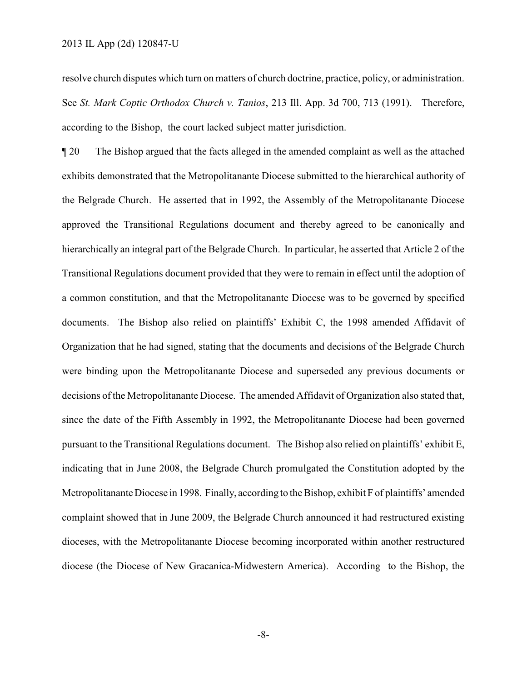resolve church disputes which turn on matters of church doctrine, practice, policy, or administration. See *St. Mark Coptic Orthodox Church v. Tanios*, 213 Ill. App. 3d 700, 713 (1991). Therefore, according to the Bishop, the court lacked subject matter jurisdiction.

¶ 20 The Bishop argued that the facts alleged in the amended complaint as well as the attached exhibits demonstrated that the Metropolitanante Diocese submitted to the hierarchical authority of the Belgrade Church. He asserted that in 1992, the Assembly of the Metropolitanante Diocese approved the Transitional Regulations document and thereby agreed to be canonically and hierarchically an integral part of the Belgrade Church. In particular, he asserted that Article 2 of the Transitional Regulations document provided that they were to remain in effect until the adoption of a common constitution, and that the Metropolitanante Diocese was to be governed by specified documents. The Bishop also relied on plaintiffs' Exhibit C, the 1998 amended Affidavit of Organization that he had signed, stating that the documents and decisions of the Belgrade Church were binding upon the Metropolitanante Diocese and superseded any previous documents or decisions of the Metropolitanante Diocese. The amended Affidavit of Organization also stated that, since the date of the Fifth Assembly in 1992, the Metropolitanante Diocese had been governed pursuant to the Transitional Regulations document. The Bishop also relied on plaintiffs' exhibit E, indicating that in June 2008, the Belgrade Church promulgated the Constitution adopted by the Metropolitanante Diocese in 1998. Finally, according to the Bishop, exhibit F of plaintiffs' amended complaint showed that in June 2009, the Belgrade Church announced it had restructured existing dioceses, with the Metropolitanante Diocese becoming incorporated within another restructured diocese (the Diocese of New Gracanica-Midwestern America). According to the Bishop, the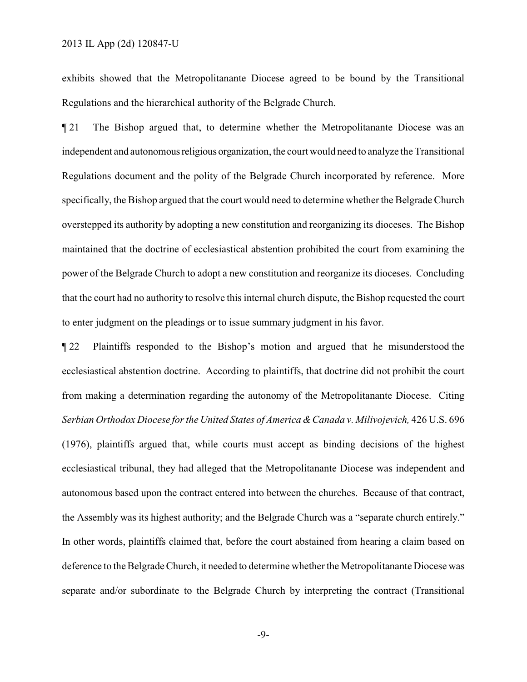exhibits showed that the Metropolitanante Diocese agreed to be bound by the Transitional Regulations and the hierarchical authority of the Belgrade Church.

¶ 21 The Bishop argued that, to determine whether the Metropolitanante Diocese was an independent and autonomousreligious organization, the court would need to analyze the Transitional Regulations document and the polity of the Belgrade Church incorporated by reference. More specifically, the Bishop argued that the court would need to determine whether the Belgrade Church overstepped its authority by adopting a new constitution and reorganizing its dioceses. The Bishop maintained that the doctrine of ecclesiastical abstention prohibited the court from examining the power of the Belgrade Church to adopt a new constitution and reorganize its dioceses. Concluding that the court had no authority to resolve this internal church dispute, the Bishop requested the court to enter judgment on the pleadings or to issue summary judgment in his favor.

¶ 22 Plaintiffs responded to the Bishop's motion and argued that he misunderstood the ecclesiastical abstention doctrine. According to plaintiffs, that doctrine did not prohibit the court from making a determination regarding the autonomy of the Metropolitanante Diocese. Citing *Serbian Orthodox Diocese for the United States of America &Canada v. Milivojevich,* 426 U.S. 696 (1976), plaintiffs argued that, while courts must accept as binding decisions of the highest ecclesiastical tribunal, they had alleged that the Metropolitanante Diocese was independent and autonomous based upon the contract entered into between the churches. Because of that contract, the Assembly was its highest authority; and the Belgrade Church was a "separate church entirely." In other words, plaintiffs claimed that, before the court abstained from hearing a claim based on deference to the Belgrade Church, it needed to determine whether the Metropolitanante Diocese was separate and/or subordinate to the Belgrade Church by interpreting the contract (Transitional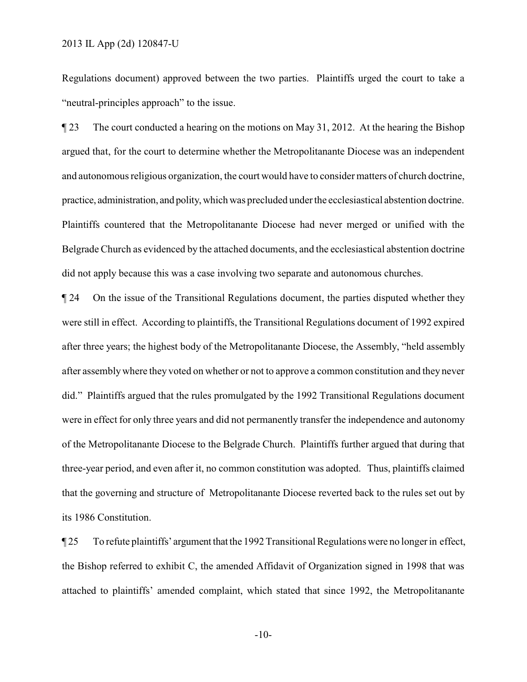Regulations document) approved between the two parties. Plaintiffs urged the court to take a "neutral-principles approach" to the issue.

¶ 23 The court conducted a hearing on the motions on May 31, 2012. At the hearing the Bishop argued that, for the court to determine whether the Metropolitanante Diocese was an independent and autonomous religious organization, the court would have to consider matters of church doctrine, practice, administration, and polity, which was precluded under the ecclesiastical abstention doctrine. Plaintiffs countered that the Metropolitanante Diocese had never merged or unified with the Belgrade Church as evidenced by the attached documents, and the ecclesiastical abstention doctrine did not apply because this was a case involving two separate and autonomous churches.

¶ 24 On the issue of the Transitional Regulations document, the parties disputed whether they were still in effect. According to plaintiffs, the Transitional Regulations document of 1992 expired after three years; the highest body of the Metropolitanante Diocese, the Assembly, "held assembly after assemblywhere they voted on whether or not to approve a common constitution and they never did." Plaintiffs argued that the rules promulgated by the 1992 Transitional Regulations document were in effect for only three years and did not permanently transfer the independence and autonomy of the Metropolitanante Diocese to the Belgrade Church. Plaintiffs further argued that during that three-year period, and even after it, no common constitution was adopted. Thus, plaintiffs claimed that the governing and structure of Metropolitanante Diocese reverted back to the rules set out by its 1986 Constitution.

¶ 25 To refute plaintiffs' argument that the 1992 Transitional Regulations were no longer in effect, the Bishop referred to exhibit C, the amended Affidavit of Organization signed in 1998 that was attached to plaintiffs' amended complaint, which stated that since 1992, the Metropolitanante

-10-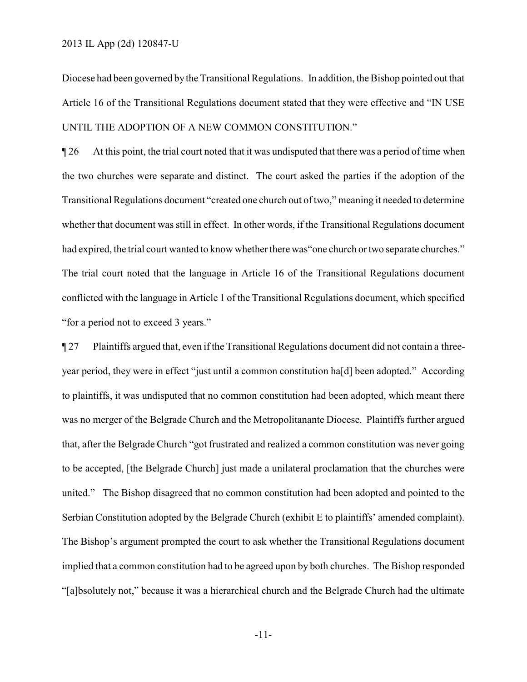Diocese had been governed bythe Transitional Regulations. In addition, the Bishop pointed out that Article 16 of the Transitional Regulations document stated that they were effective and "IN USE UNTIL THE ADOPTION OF A NEW COMMON CONSTITUTION."

¶ 26 At this point, the trial court noted that it was undisputed that there was a period of time when the two churches were separate and distinct. The court asked the parties if the adoption of the Transitional Regulations document "created one church out of two," meaning it needed to determine whether that document was still in effect. In other words, if the Transitional Regulations document had expired, the trial court wanted to know whether there was "one church or two separate churches." The trial court noted that the language in Article 16 of the Transitional Regulations document conflicted with the language in Article 1 of the Transitional Regulations document, which specified "for a period not to exceed 3 years."

¶ 27 Plaintiffs argued that, even if the Transitional Regulations document did not contain a threeyear period, they were in effect "just until a common constitution ha[d] been adopted." According to plaintiffs, it was undisputed that no common constitution had been adopted, which meant there was no merger of the Belgrade Church and the Metropolitanante Diocese. Plaintiffs further argued that, after the Belgrade Church "got frustrated and realized a common constitution was never going to be accepted, [the Belgrade Church] just made a unilateral proclamation that the churches were united." The Bishop disagreed that no common constitution had been adopted and pointed to the Serbian Constitution adopted by the Belgrade Church (exhibit E to plaintiffs' amended complaint). The Bishop's argument prompted the court to ask whether the Transitional Regulations document implied that a common constitution had to be agreed upon by both churches. The Bishop responded "[a]bsolutely not," because it was a hierarchical church and the Belgrade Church had the ultimate

-11-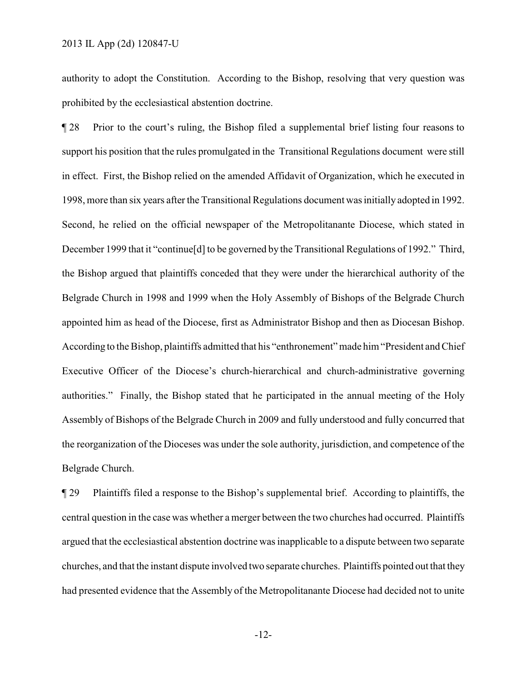authority to adopt the Constitution. According to the Bishop, resolving that very question was prohibited by the ecclesiastical abstention doctrine.

¶ 28 Prior to the court's ruling, the Bishop filed a supplemental brief listing four reasons to support his position that the rules promulgated in the Transitional Regulations document were still in effect. First, the Bishop relied on the amended Affidavit of Organization, which he executed in 1998, more than six years after the Transitional Regulations document was initially adopted in 1992. Second, he relied on the official newspaper of the Metropolitanante Diocese, which stated in December 1999 that it "continue[d] to be governed by the Transitional Regulations of 1992." Third, the Bishop argued that plaintiffs conceded that they were under the hierarchical authority of the Belgrade Church in 1998 and 1999 when the Holy Assembly of Bishops of the Belgrade Church appointed him as head of the Diocese, first as Administrator Bishop and then as Diocesan Bishop. According to the Bishop, plaintiffs admitted that his "enthronement" made him "President and Chief Executive Officer of the Diocese's church-hierarchical and church-administrative governing authorities." Finally, the Bishop stated that he participated in the annual meeting of the Holy Assembly of Bishops of the Belgrade Church in 2009 and fully understood and fully concurred that the reorganization of the Dioceses was under the sole authority, jurisdiction, and competence of the Belgrade Church.

¶ 29 Plaintiffs filed a response to the Bishop's supplemental brief. According to plaintiffs, the central question in the case was whether a merger between the two churches had occurred. Plaintiffs argued that the ecclesiastical abstention doctrine was inapplicable to a dispute between two separate churches, and that the instant dispute involved two separate churches. Plaintiffs pointed out that they had presented evidence that the Assembly of the Metropolitanante Diocese had decided not to unite

-12-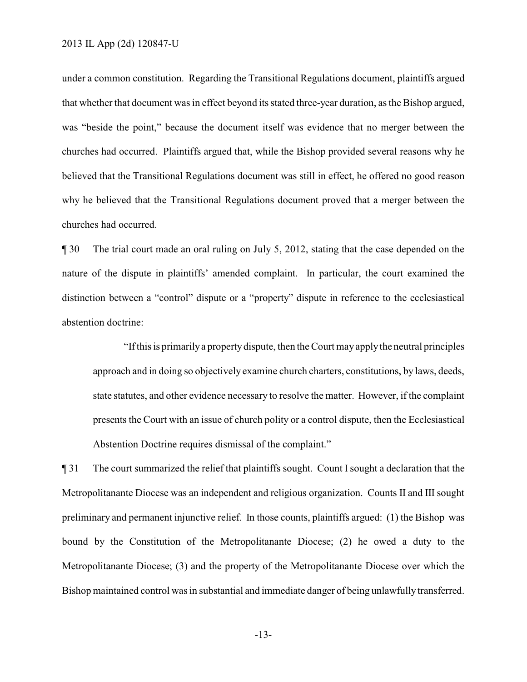under a common constitution. Regarding the Transitional Regulations document, plaintiffs argued that whether that document was in effect beyond its stated three-year duration, as the Bishop argued, was "beside the point," because the document itself was evidence that no merger between the churches had occurred. Plaintiffs argued that, while the Bishop provided several reasons why he believed that the Transitional Regulations document was still in effect, he offered no good reason why he believed that the Transitional Regulations document proved that a merger between the churches had occurred.

¶ 30 The trial court made an oral ruling on July 5, 2012, stating that the case depended on the nature of the dispute in plaintiffs' amended complaint. In particular, the court examined the distinction between a "control" dispute or a "property" dispute in reference to the ecclesiastical abstention doctrine:

"If this is primarilya propertydispute, then the Court may applythe neutral principles approach and in doing so objectively examine church charters, constitutions, by laws, deeds, state statutes, and other evidence necessary to resolve the matter. However, if the complaint presents the Court with an issue of church polity or a control dispute, then the Ecclesiastical Abstention Doctrine requires dismissal of the complaint."

¶ 31 The court summarized the relief that plaintiffs sought. Count Isought a declaration that the Metropolitanante Diocese was an independent and religious organization. Counts II and III sought preliminary and permanent injunctive relief. In those counts, plaintiffs argued: (1) the Bishop was bound by the Constitution of the Metropolitanante Diocese; (2) he owed a duty to the Metropolitanante Diocese; (3) and the property of the Metropolitanante Diocese over which the Bishop maintained control was in substantial and immediate danger of being unlawfullytransferred.

-13-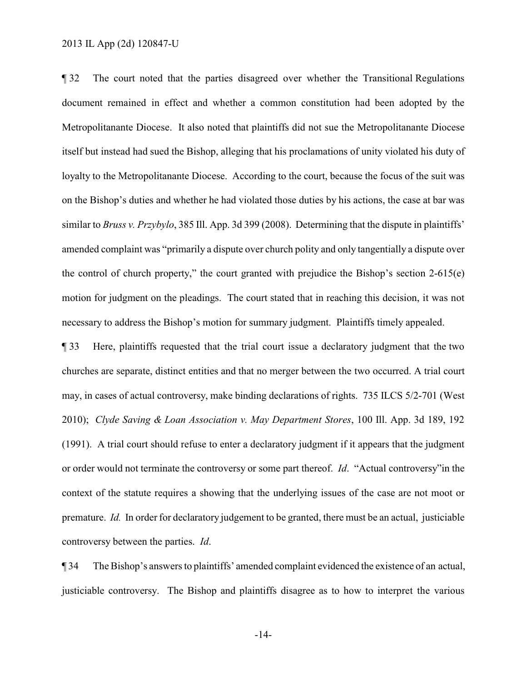¶ 32 The court noted that the parties disagreed over whether the Transitional Regulations document remained in effect and whether a common constitution had been adopted by the Metropolitanante Diocese. It also noted that plaintiffs did not sue the Metropolitanante Diocese itself but instead had sued the Bishop, alleging that his proclamations of unity violated his duty of loyalty to the Metropolitanante Diocese. According to the court, because the focus of the suit was on the Bishop's duties and whether he had violated those duties by his actions, the case at bar was similar to *Bruss v. Przybylo*, 385 Ill. App. 3d 399 (2008). Determining that the dispute in plaintiffs' amended complaint was "primarily a dispute over church polity and only tangentially a dispute over the control of church property," the court granted with prejudice the Bishop's section 2-615(e) motion for judgment on the pleadings. The court stated that in reaching this decision, it was not necessary to address the Bishop's motion for summary judgment. Plaintiffs timely appealed.

¶ 33 Here, plaintiffs requested that the trial court issue a declaratory judgment that the two churches are separate, distinct entities and that no merger between the two occurred. A trial court may, in cases of actual controversy, make binding declarations of rights. 735 ILCS 5/2-701 (West 2010); *Clyde Saving & Loan Association v. May Department Stores*, 100 Ill. App. 3d 189, 192 (1991). A trial court should refuse to enter a declaratory judgment if it appears that the judgment or order would not terminate the controversy or some part thereof. *Id*. "Actual controversy"in the context of the statute requires a showing that the underlying issues of the case are not moot or premature. *Id.* In order for declaratory judgement to be granted, there must be an actual, justiciable controversy between the parties. *Id*.

¶ 34 The Bishop's answers to plaintiffs' amended complaint evidenced the existence of an actual, justiciable controversy. The Bishop and plaintiffs disagree as to how to interpret the various

-14-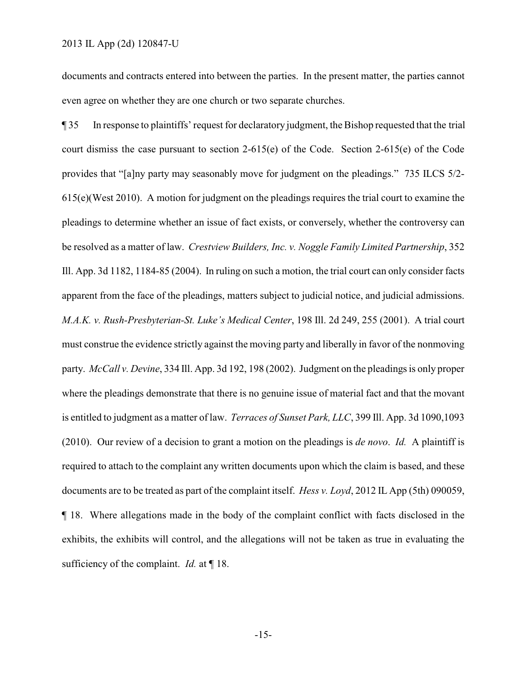documents and contracts entered into between the parties. In the present matter, the parties cannot even agree on whether they are one church or two separate churches.

¶ 35 In response to plaintiffs' request for declaratory judgment, the Bishop requested that the trial court dismiss the case pursuant to section 2-615(e) of the Code. Section 2-615(e) of the Code provides that "[a]ny party may seasonably move for judgment on the pleadings." 735 ILCS 5/2- 615(e)(West 2010). A motion for judgment on the pleadings requires the trial court to examine the pleadings to determine whether an issue of fact exists, or conversely, whether the controversy can be resolved as a matter of law. *Crestview Builders, Inc. v. Noggle Family Limited Partnership*, 352 Ill. App. 3d 1182, 1184-85 (2004). In ruling on such a motion, the trial court can only consider facts apparent from the face of the pleadings, matters subject to judicial notice, and judicial admissions. *M.A.K. v. Rush-Presbyterian-St. Luke's Medical Center*, 198 Ill. 2d 249, 255 (2001). A trial court must construe the evidence strictly against the moving party and liberally in favor of the nonmoving party. *McCall v. Devine*, 334 Ill. App. 3d 192, 198 (2002). Judgment on the pleadings is only proper where the pleadings demonstrate that there is no genuine issue of material fact and that the movant is entitled to judgment as a matter of law. *Terraces of Sunset Park, LLC*, 399 Ill. App. 3d 1090,1093 (2010). Our review of a decision to grant a motion on the pleadings is *de novo*. *Id.* A plaintiff is required to attach to the complaint any written documents upon which the claim is based, and these documents are to be treated as part of the complaint itself. *Hess v. Loyd*, 2012 IL App (5th) 090059, ¶ 18. Where allegations made in the body of the complaint conflict with facts disclosed in the exhibits, the exhibits will control, and the allegations will not be taken as true in evaluating the sufficiency of the complaint. *Id.* at ¶ 18.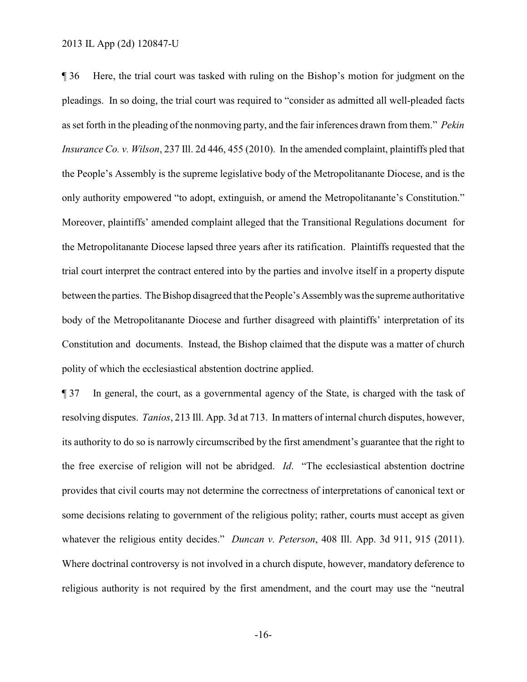¶ 36 Here, the trial court was tasked with ruling on the Bishop's motion for judgment on the pleadings. In so doing, the trial court was required to "consider as admitted all well-pleaded facts as set forth in the pleading of the nonmoving party, and the fair inferences drawn from them." *Pekin Insurance Co. v. Wilson*, 237 Ill. 2d 446, 455 (2010). In the amended complaint, plaintiffs pled that the People's Assembly is the supreme legislative body of the Metropolitanante Diocese, and is the only authority empowered "to adopt, extinguish, or amend the Metropolitanante's Constitution." Moreover, plaintiffs' amended complaint alleged that the Transitional Regulations document for the Metropolitanante Diocese lapsed three years after its ratification. Plaintiffs requested that the trial court interpret the contract entered into by the parties and involve itself in a property dispute between the parties. The Bishop disagreed that the People's Assemblywas the supreme authoritative body of the Metropolitanante Diocese and further disagreed with plaintiffs' interpretation of its Constitution and documents. Instead, the Bishop claimed that the dispute was a matter of church polity of which the ecclesiastical abstention doctrine applied.

¶ 37 In general, the court, as a governmental agency of the State, is charged with the task of resolving disputes. *Tanios*, 213 Ill. App. 3d at 713. In matters of internal church disputes, however, its authority to do so is narrowly circumscribed by the first amendment's guarantee that the right to the free exercise of religion will not be abridged. *Id*. "The ecclesiastical abstention doctrine provides that civil courts may not determine the correctness of interpretations of canonical text or some decisions relating to government of the religious polity; rather, courts must accept as given whatever the religious entity decides." *Duncan v. Peterson*, 408 Ill. App. 3d 911, 915 (2011). Where doctrinal controversy is not involved in a church dispute, however, mandatory deference to religious authority is not required by the first amendment, and the court may use the "neutral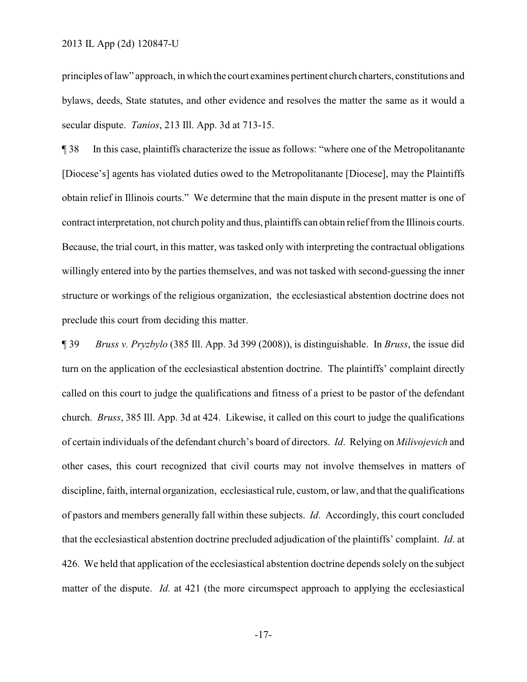principles of law" approach, in which the court examines pertinent church charters, constitutions and bylaws, deeds, State statutes, and other evidence and resolves the matter the same as it would a secular dispute. *Tanios*, 213 Ill. App. 3d at 713-15.

¶ 38 In this case, plaintiffs characterize the issue as follows: "where one of the Metropolitanante [Diocese's] agents has violated duties owed to the Metropolitanante [Diocese], may the Plaintiffs obtain relief in Illinois courts." We determine that the main dispute in the present matter is one of contract interpretation, not church polity and thus, plaintiffs can obtain relieffrom the Illinois courts. Because, the trial court, in this matter, was tasked only with interpreting the contractual obligations willingly entered into by the parties themselves, and was not tasked with second-guessing the inner structure or workings of the religious organization, the ecclesiastical abstention doctrine does not preclude this court from deciding this matter.

¶ 39 *Bruss v. Pryzbylo* (385 Ill. App. 3d 399 (2008)), is distinguishable. In *Bruss*, the issue did turn on the application of the ecclesiastical abstention doctrine. The plaintiffs' complaint directly called on this court to judge the qualifications and fitness of a priest to be pastor of the defendant church. *Bruss*, 385 Ill. App. 3d at 424. Likewise, it called on this court to judge the qualifications of certain individuals of the defendant church's board of directors. *Id*. Relying on *Milivojevich* and other cases, this court recognized that civil courts may not involve themselves in matters of discipline, faith, internal organization, ecclesiastical rule, custom, or law, and that the qualifications of pastors and members generally fall within these subjects. *Id*. Accordingly, this court concluded that the ecclesiastical abstention doctrine precluded adjudication of the plaintiffs' complaint. *Id*. at 426. We held that application of the ecclesiastical abstention doctrine depends solely on the subject matter of the dispute. *Id.* at 421 (the more circumspect approach to applying the ecclesiastical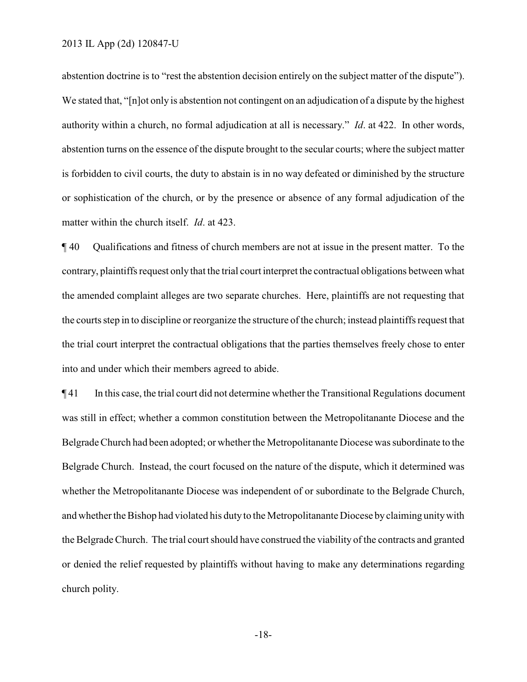abstention doctrine is to "rest the abstention decision entirely on the subject matter of the dispute"). We stated that, "[n]ot only is abstention not contingent on an adjudication of a dispute by the highest authority within a church, no formal adjudication at all is necessary." *Id*. at 422. In other words, abstention turns on the essence of the dispute brought to the secular courts; where the subject matter is forbidden to civil courts, the duty to abstain is in no way defeated or diminished by the structure or sophistication of the church, or by the presence or absence of any formal adjudication of the matter within the church itself. *Id*. at 423.

¶ 40 Qualifications and fitness of church members are not at issue in the present matter. To the contrary, plaintiffs request only that the trial court interpret the contractual obligations between what the amended complaint alleges are two separate churches. Here, plaintiffs are not requesting that the courts step in to discipline or reorganize the structure of the church; instead plaintiffs request that the trial court interpret the contractual obligations that the parties themselves freely chose to enter into and under which their members agreed to abide.

¶ 41 In this case, the trial court did not determine whetherthe Transitional Regulations document was still in effect; whether a common constitution between the Metropolitanante Diocese and the Belgrade Church had been adopted; or whether the Metropolitanante Diocese was subordinate to the Belgrade Church. Instead, the court focused on the nature of the dispute, which it determined was whether the Metropolitanante Diocese was independent of or subordinate to the Belgrade Church, and whether the Bishop had violated his duty to the Metropolitanante Diocese by claiming unity with the Belgrade Church. The trial court should have construed the viability of the contracts and granted or denied the relief requested by plaintiffs without having to make any determinations regarding church polity.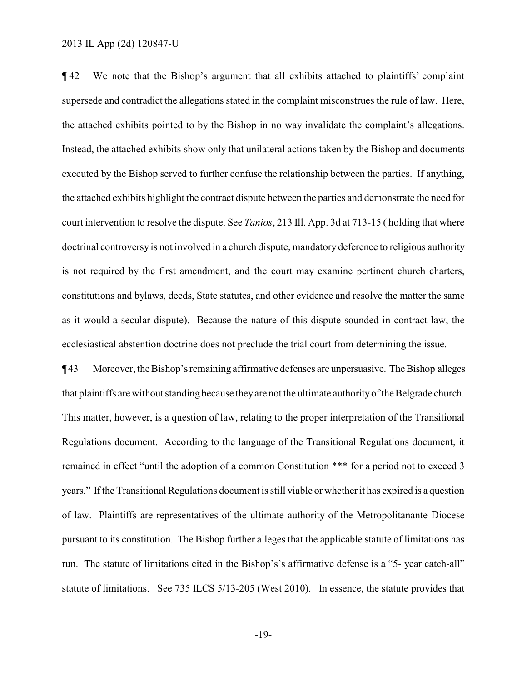¶ 42 We note that the Bishop's argument that all exhibits attached to plaintiffs' complaint supersede and contradict the allegations stated in the complaint misconstrues the rule of law. Here, the attached exhibits pointed to by the Bishop in no way invalidate the complaint's allegations. Instead, the attached exhibits show only that unilateral actions taken by the Bishop and documents executed by the Bishop served to further confuse the relationship between the parties. If anything, the attached exhibits highlight the contract dispute between the parties and demonstrate the need for court intervention to resolve the dispute. See *Tanios*, 213 Ill. App. 3d at 713-15 ( holding that where doctrinal controversy is not involved in a church dispute, mandatory deference to religious authority is not required by the first amendment, and the court may examine pertinent church charters, constitutions and bylaws, deeds, State statutes, and other evidence and resolve the matter the same as it would a secular dispute). Because the nature of this dispute sounded in contract law, the ecclesiastical abstention doctrine does not preclude the trial court from determining the issue.

**The Surfaret Studies** Moreover, the Bishop's remaining affirmative defenses are unpersuasive. The Bishop alleges that plaintiffs arewithout standing because theyare not the ultimate authorityof the Belgrade church. This matter, however, is a question of law, relating to the proper interpretation of the Transitional Regulations document. According to the language of the Transitional Regulations document, it remained in effect "until the adoption of a common Constitution \*\*\* for a period not to exceed 3 years." If the Transitional Regulations document is still viable or whetherit has expired is a question of law. Plaintiffs are representatives of the ultimate authority of the Metropolitanante Diocese pursuant to its constitution. The Bishop further alleges that the applicable statute of limitations has run. The statute of limitations cited in the Bishop's's affirmative defense is a "5- year catch-all" statute of limitations. See 735 ILCS 5/13-205 (West 2010). In essence, the statute provides that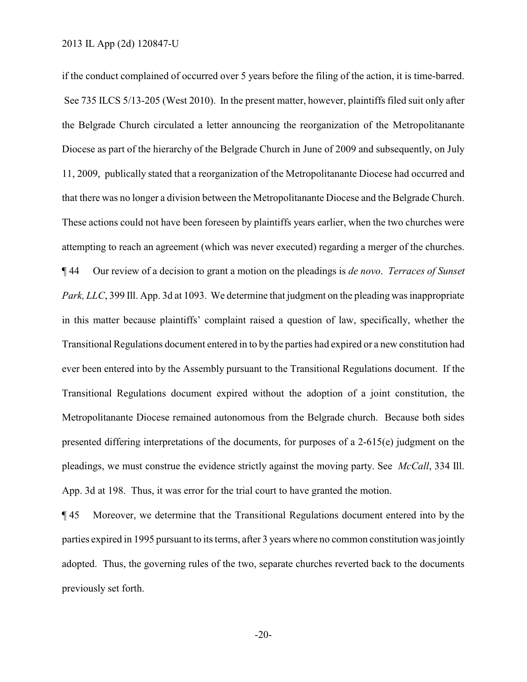if the conduct complained of occurred over 5 years before the filing of the action, it is time-barred. See 735 ILCS 5/13-205 (West 2010). In the present matter, however, plaintiffs filed suit only after the Belgrade Church circulated a letter announcing the reorganization of the Metropolitanante Diocese as part of the hierarchy of the Belgrade Church in June of 2009 and subsequently, on July 11, 2009, publically stated that a reorganization of the Metropolitanante Diocese had occurred and that there was no longer a division between the Metropolitanante Diocese and the Belgrade Church. These actions could not have been foreseen by plaintiffs years earlier, when the two churches were attempting to reach an agreement (which was never executed) regarding a merger of the churches. ¶ 44 Our review of a decision to grant a motion on the pleadings is *de novo*. *Terraces of Sunset Park, LLC*, 399 Ill. App. 3d at 1093. We determine that judgment on the pleading was inappropriate in this matter because plaintiffs' complaint raised a question of law, specifically, whether the Transitional Regulations document entered in to by the parties had expired or a new constitution had ever been entered into by the Assembly pursuant to the Transitional Regulations document. If the Transitional Regulations document expired without the adoption of a joint constitution, the Metropolitanante Diocese remained autonomous from the Belgrade church. Because both sides presented differing interpretations of the documents, for purposes of a 2-615(e) judgment on the pleadings, we must construe the evidence strictly against the moving party. See *McCall*, 334 Ill. App. 3d at 198. Thus, it was error for the trial court to have granted the motion.

¶ 45 Moreover, we determine that the Transitional Regulations document entered into by the parties expired in 1995 pursuant to its terms, after 3 years where no common constitution was jointly adopted. Thus, the governing rules of the two, separate churches reverted back to the documents previously set forth.

-20-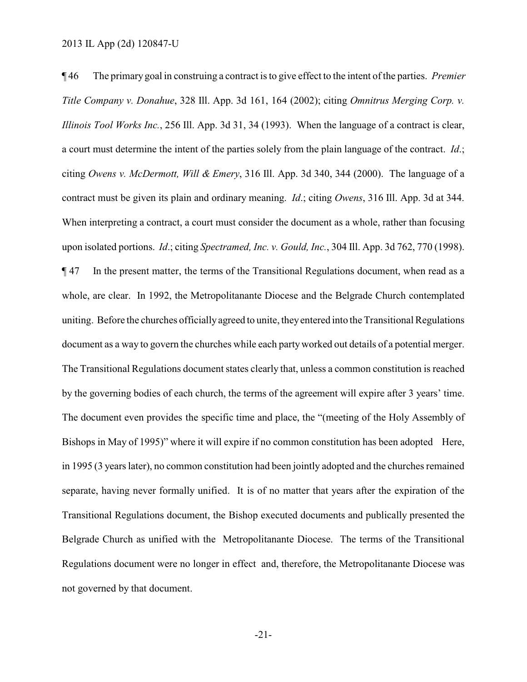¶ 46 The primarygoal in construing a contract is to give effect to the intent of the parties. *Premier Title Company v. Donahue*, 328 Ill. App. 3d 161, 164 (2002); citing *Omnitrus Merging Corp. v. Illinois Tool Works Inc.*, 256 Ill. App. 3d 31, 34 (1993). When the language of a contract is clear, a court must determine the intent of the parties solely from the plain language of the contract. *Id*.; citing *Owens v. McDermott, Will & Emery*, 316 Ill. App. 3d 340, 344 (2000). The language of a contract must be given its plain and ordinary meaning. *Id*.; citing *Owens*, 316 Ill. App. 3d at 344. When interpreting a contract, a court must consider the document as a whole, rather than focusing upon isolated portions. *Id*.; citing *Spectramed, Inc. v. Gould, Inc.*, 304 Ill. App. 3d 762, 770 (1998). ¶ 47 In the present matter, the terms of the Transitional Regulations document, when read as a whole, are clear. In 1992, the Metropolitanante Diocese and the Belgrade Church contemplated uniting. Before the churches officiallyagreed to unite, theyentered into the Transitional Regulations document as a way to govern the churches while each partyworked out details of a potential merger. The Transitional Regulations document states clearly that, unless a common constitution is reached by the governing bodies of each church, the terms of the agreement will expire after 3 years' time. The document even provides the specific time and place, the "(meeting of the Holy Assembly of Bishops in May of 1995)" where it will expire if no common constitution has been adopted Here, in 1995 (3 years later), no common constitution had been jointly adopted and the churches remained separate, having never formally unified. It is of no matter that years after the expiration of the Transitional Regulations document, the Bishop executed documents and publically presented the Belgrade Church as unified with the Metropolitanante Diocese. The terms of the Transitional Regulations document were no longer in effect and, therefore, the Metropolitanante Diocese was not governed by that document.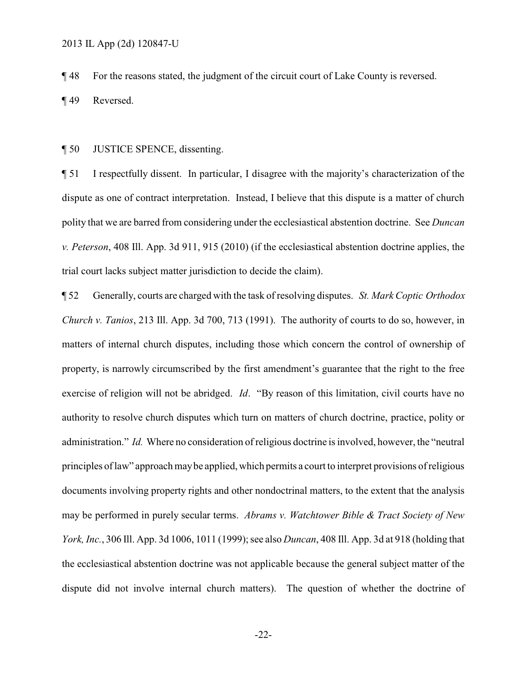¶ 48 For the reasons stated, the judgment of the circuit court of Lake County is reversed.

¶ 49 Reversed.

#### ¶ 50 JUSTICE SPENCE, dissenting.

¶ 51 I respectfully dissent. In particular, I disagree with the majority's characterization of the dispute as one of contract interpretation. Instead, I believe that this dispute is a matter of church polity that we are barred from considering under the ecclesiastical abstention doctrine. See *Duncan v. Peterson*, 408 Ill. App. 3d 911, 915 (2010) (if the ecclesiastical abstention doctrine applies, the trial court lacks subject matter jurisdiction to decide the claim).

¶ 52 Generally, courts are charged with the task of resolving disputes. *St. Mark Coptic Orthodox Church v. Tanios*, 213 Ill. App. 3d 700, 713 (1991). The authority of courts to do so, however, in matters of internal church disputes, including those which concern the control of ownership of property, is narrowly circumscribed by the first amendment's guarantee that the right to the free exercise of religion will not be abridged. *Id*. "By reason of this limitation, civil courts have no authority to resolve church disputes which turn on matters of church doctrine, practice, polity or administration." *Id.* Where no consideration of religious doctrine is involved, however, the "neutral principles of law" approach maybe applied, which permits a court to interpret provisions of religious documents involving property rights and other nondoctrinal matters, to the extent that the analysis may be performed in purely secular terms. *Abrams v. Watchtower Bible & Tract Society of New York, Inc.*, 306 Ill. App. 3d 1006, 1011 (1999); see also *Duncan*, 408 Ill. App. 3d at 918 (holding that the ecclesiastical abstention doctrine was not applicable because the general subject matter of the dispute did not involve internal church matters). The question of whether the doctrine of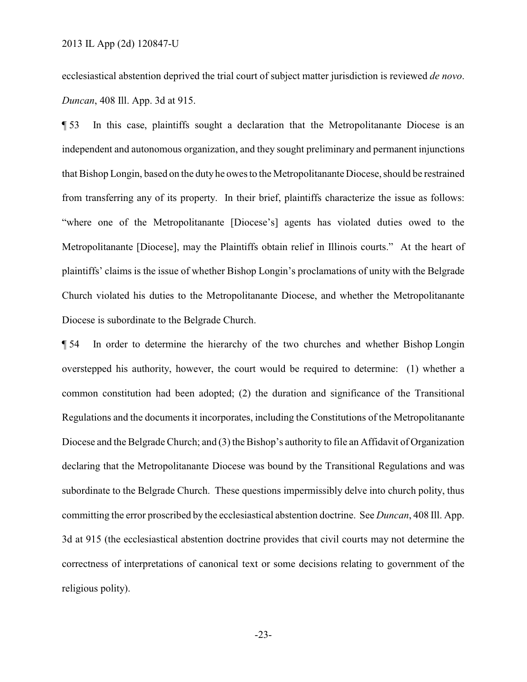ecclesiastical abstention deprived the trial court of subject matter jurisdiction is reviewed *de novo*. *Duncan*, 408 Ill. App. 3d at 915.

¶ 53 In this case, plaintiffs sought a declaration that the Metropolitanante Diocese is an independent and autonomous organization, and they sought preliminary and permanent injunctions that Bishop Longin, based on the duty he owes to the Metropolitanante Diocese, should be restrained from transferring any of its property. In their brief, plaintiffs characterize the issue as follows: "where one of the Metropolitanante [Diocese's] agents has violated duties owed to the Metropolitanante [Diocese], may the Plaintiffs obtain relief in Illinois courts." At the heart of plaintiffs' claims is the issue of whether Bishop Longin's proclamations of unity with the Belgrade Church violated his duties to the Metropolitanante Diocese, and whether the Metropolitanante Diocese is subordinate to the Belgrade Church.

¶ 54 In order to determine the hierarchy of the two churches and whether Bishop Longin overstepped his authority, however, the court would be required to determine: (1) whether a common constitution had been adopted; (2) the duration and significance of the Transitional Regulations and the documents it incorporates, including the Constitutions of the Metropolitanante Diocese and the Belgrade Church; and (3) the Bishop's authority to file an Affidavit of Organization declaring that the Metropolitanante Diocese was bound by the Transitional Regulations and was subordinate to the Belgrade Church. These questions impermissibly delve into church polity, thus committing the error proscribed by the ecclesiastical abstention doctrine. See *Duncan*, 408 Ill. App. 3d at 915 (the ecclesiastical abstention doctrine provides that civil courts may not determine the correctness of interpretations of canonical text or some decisions relating to government of the religious polity).

-23-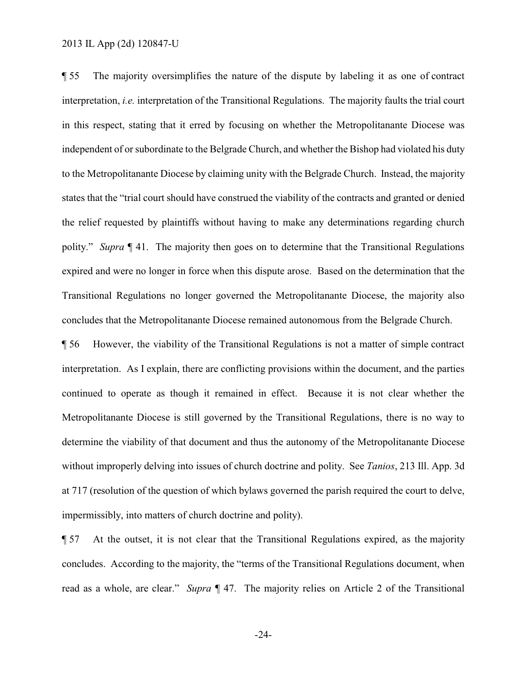¶ 55 The majority oversimplifies the nature of the dispute by labeling it as one of contract interpretation, *i.e.* interpretation of the Transitional Regulations. The majority faults the trial court in this respect, stating that it erred by focusing on whether the Metropolitanante Diocese was independent of or subordinate to the Belgrade Church, and whether the Bishop had violated his duty to the Metropolitanante Diocese by claiming unity with the Belgrade Church. Instead, the majority states that the "trial court should have construed the viability of the contracts and granted or denied the relief requested by plaintiffs without having to make any determinations regarding church polity." *Supra* ¶ 41. The majority then goes on to determine that the Transitional Regulations expired and were no longer in force when this dispute arose. Based on the determination that the Transitional Regulations no longer governed the Metropolitanante Diocese, the majority also concludes that the Metropolitanante Diocese remained autonomous from the Belgrade Church.

¶ 56 However, the viability of the Transitional Regulations is not a matter of simple contract interpretation. As I explain, there are conflicting provisions within the document, and the parties continued to operate as though it remained in effect. Because it is not clear whether the Metropolitanante Diocese is still governed by the Transitional Regulations, there is no way to determine the viability of that document and thus the autonomy of the Metropolitanante Diocese without improperly delving into issues of church doctrine and polity. See *Tanios*, 213 Ill. App. 3d at 717 (resolution of the question of which bylaws governed the parish required the court to delve, impermissibly, into matters of church doctrine and polity).

¶ 57 At the outset, it is not clear that the Transitional Regulations expired, as the majority concludes. According to the majority, the "terms of the Transitional Regulations document, when read as a whole, are clear." *Supra* ¶ 47. The majority relies on Article 2 of the Transitional

-24-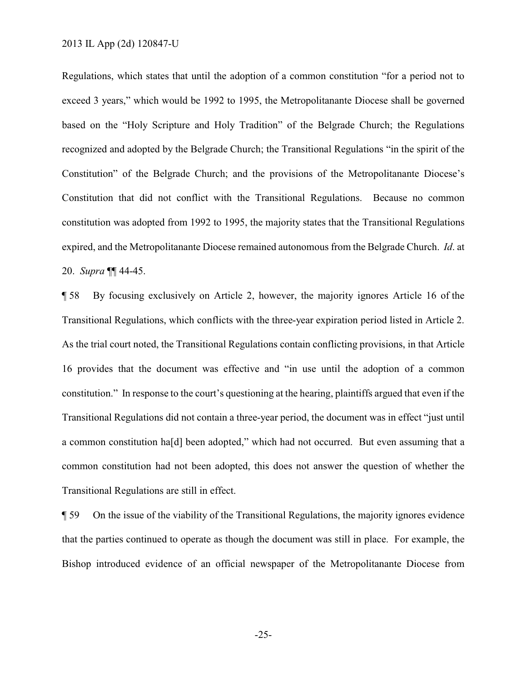Regulations, which states that until the adoption of a common constitution "for a period not to exceed 3 years," which would be 1992 to 1995, the Metropolitanante Diocese shall be governed based on the "Holy Scripture and Holy Tradition" of the Belgrade Church; the Regulations recognized and adopted by the Belgrade Church; the Transitional Regulations "in the spirit of the Constitution" of the Belgrade Church; and the provisions of the Metropolitanante Diocese's Constitution that did not conflict with the Transitional Regulations. Because no common constitution was adopted from 1992 to 1995, the majority states that the Transitional Regulations expired, and the Metropolitanante Diocese remained autonomous from the Belgrade Church. *Id*. at 20. *Supra* ¶¶ 44-45.

¶ 58 By focusing exclusively on Article 2, however, the majority ignores Article 16 of the Transitional Regulations, which conflicts with the three-year expiration period listed in Article 2. As the trial court noted, the Transitional Regulations contain conflicting provisions, in that Article 16 provides that the document was effective and "in use until the adoption of a common constitution." In response to the court's questioning at the hearing, plaintiffs argued that even if the Transitional Regulations did not contain a three-year period, the document was in effect "just until a common constitution ha[d] been adopted," which had not occurred. But even assuming that a common constitution had not been adopted, this does not answer the question of whether the Transitional Regulations are still in effect.

¶ 59 On the issue of the viability of the Transitional Regulations, the majority ignores evidence that the parties continued to operate as though the document was still in place. For example, the Bishop introduced evidence of an official newspaper of the Metropolitanante Diocese from

-25-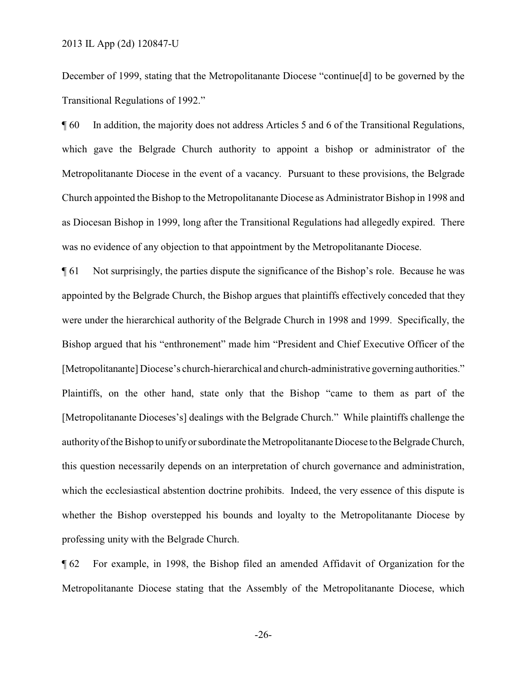December of 1999, stating that the Metropolitanante Diocese "continue[d] to be governed by the Transitional Regulations of 1992."

¶ 60 In addition, the majority does not address Articles 5 and 6 of the Transitional Regulations, which gave the Belgrade Church authority to appoint a bishop or administrator of the Metropolitanante Diocese in the event of a vacancy. Pursuant to these provisions, the Belgrade Church appointed the Bishop to the Metropolitanante Diocese as Administrator Bishop in 1998 and as Diocesan Bishop in 1999, long after the Transitional Regulations had allegedly expired. There was no evidence of any objection to that appointment by the Metropolitanante Diocese.

¶ 61 Not surprisingly, the parties dispute the significance of the Bishop's role. Because he was appointed by the Belgrade Church, the Bishop argues that plaintiffs effectively conceded that they were under the hierarchical authority of the Belgrade Church in 1998 and 1999. Specifically, the Bishop argued that his "enthronement" made him "President and Chief Executive Officer of the [Metropolitanante] Diocese's church-hierarchical and church-administrative governing authorities." Plaintiffs, on the other hand, state only that the Bishop "came to them as part of the [Metropolitanante Dioceses's] dealings with the Belgrade Church." While plaintiffs challenge the authorityof the Bishop to unifyor subordinate the Metropolitanante Diocese to the Belgrade Church, this question necessarily depends on an interpretation of church governance and administration, which the ecclesiastical abstention doctrine prohibits. Indeed, the very essence of this dispute is whether the Bishop overstepped his bounds and loyalty to the Metropolitanante Diocese by professing unity with the Belgrade Church.

¶ 62 For example, in 1998, the Bishop filed an amended Affidavit of Organization for the Metropolitanante Diocese stating that the Assembly of the Metropolitanante Diocese, which

-26-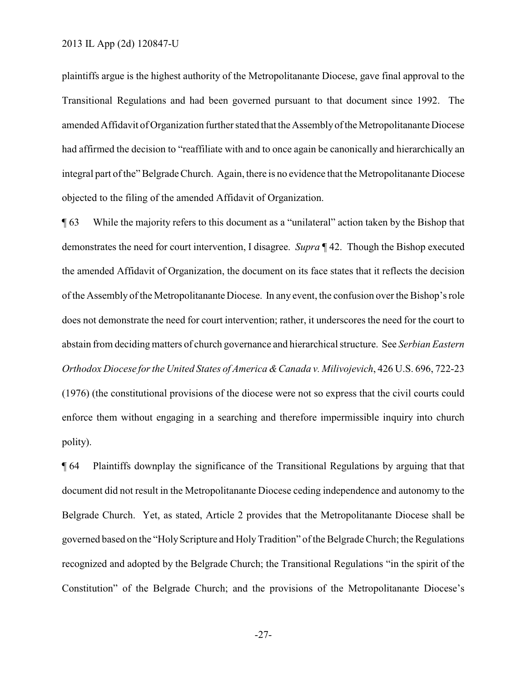plaintiffs argue is the highest authority of the Metropolitanante Diocese, gave final approval to the Transitional Regulations and had been governed pursuant to that document since 1992. The amended Affidavit of Organization further stated that the Assembly of the Metropolitanante Diocese had affirmed the decision to "reaffiliate with and to once again be canonically and hierarchically an integral part of the" Belgrade Church. Again, there is no evidence that the Metropolitanante Diocese objected to the filing of the amended Affidavit of Organization.

¶ 63 While the majority refers to this document as a "unilateral" action taken by the Bishop that demonstrates the need for court intervention, I disagree. *Supra* ¶ 42. Though the Bishop executed the amended Affidavit of Organization, the document on its face states that it reflects the decision of the Assembly of the Metropolitanante Diocese. In any event, the confusion over the Bishop's role does not demonstrate the need for court intervention; rather, it underscores the need for the court to abstain from deciding matters of church governance and hierarchical structure. See *Serbian Eastern Orthodox Diocese for the United States of America &Canada v. Milivojevich*, 426 U.S. 696, 722-23 (1976) (the constitutional provisions of the diocese were not so express that the civil courts could enforce them without engaging in a searching and therefore impermissible inquiry into church polity).

¶ 64 Plaintiffs downplay the significance of the Transitional Regulations by arguing that that document did not result in the Metropolitanante Diocese ceding independence and autonomy to the Belgrade Church. Yet, as stated, Article 2 provides that the Metropolitanante Diocese shall be governed based on the "HolyScripture and HolyTradition" of the Belgrade Church; the Regulations recognized and adopted by the Belgrade Church; the Transitional Regulations "in the spirit of the Constitution" of the Belgrade Church; and the provisions of the Metropolitanante Diocese's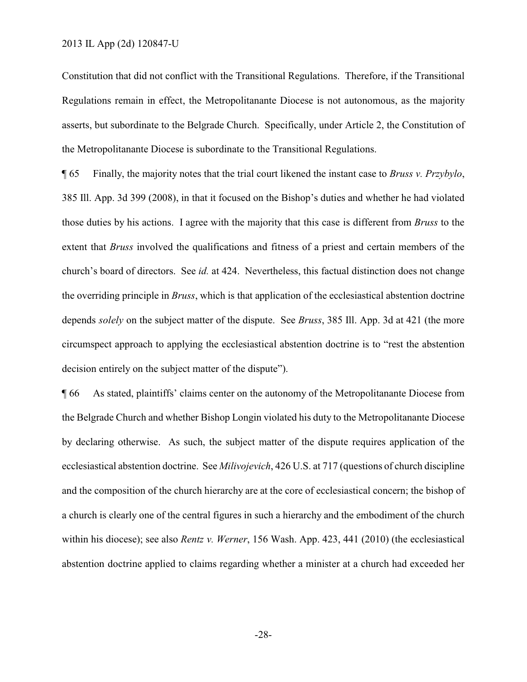Constitution that did not conflict with the Transitional Regulations. Therefore, if the Transitional Regulations remain in effect, the Metropolitanante Diocese is not autonomous, as the majority asserts, but subordinate to the Belgrade Church. Specifically, under Article 2, the Constitution of the Metropolitanante Diocese is subordinate to the Transitional Regulations.

¶ 65 Finally, the majority notes that the trial court likened the instant case to *Bruss v. Przybylo*, 385 Ill. App. 3d 399 (2008), in that it focused on the Bishop's duties and whether he had violated those duties by his actions. I agree with the majority that this case is different from *Bruss* to the extent that *Bruss* involved the qualifications and fitness of a priest and certain members of the church's board of directors. See *id.* at 424. Nevertheless, this factual distinction does not change the overriding principle in *Bruss*, which is that application of the ecclesiastical abstention doctrine depends *solely* on the subject matter of the dispute. See *Bruss*, 385 Ill. App. 3d at 421 (the more circumspect approach to applying the ecclesiastical abstention doctrine is to "rest the abstention decision entirely on the subject matter of the dispute").

¶ 66 As stated, plaintiffs' claims center on the autonomy of the Metropolitanante Diocese from the Belgrade Church and whether Bishop Longin violated his duty to the Metropolitanante Diocese by declaring otherwise. As such, the subject matter of the dispute requires application of the ecclesiastical abstention doctrine. See *Milivojevich*, 426 U.S. at 717 (questions of church discipline and the composition of the church hierarchy are at the core of ecclesiastical concern; the bishop of a church is clearly one of the central figures in such a hierarchy and the embodiment of the church within his diocese); see also *Rentz v. Werner*, 156 Wash. App. 423, 441 (2010) (the ecclesiastical abstention doctrine applied to claims regarding whether a minister at a church had exceeded her